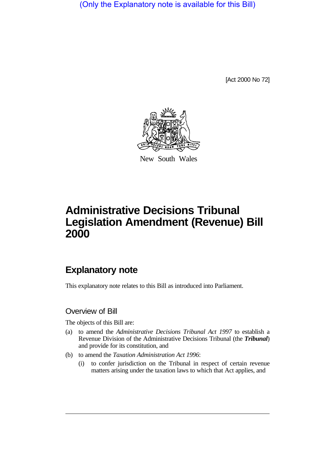(Only the Explanatory note is available for this Bill)

[Act 2000 No 72]



New South Wales

# **Administrative Decisions Tribunal Legislation Amendment (Revenue) Bill 2000**

## **Explanatory note**

This explanatory note relates to this Bill as introduced into Parliament.

#### Overview of Bill

The objects of this Bill are:

- (a) to amend the *Administrative Decisions Tribunal Act 1997* to establish a Revenue Division of the Administrative Decisions Tribunal (the *Tribunal*) and provide for its constitution, and
- (b) to amend the *Taxation Administration Act 1996*:
	- (i) to confer jurisdiction on the Tribunal in respect of certain revenue matters arising under the taxation laws to which that Act applies, and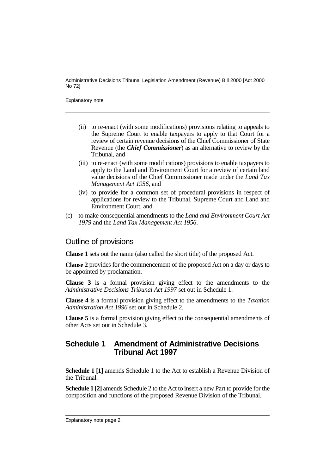Explanatory note

- (ii) to re-enact (with some modifications) provisions relating to appeals to the Supreme Court to enable taxpayers to apply to that Court for a review of certain revenue decisions of the Chief Commissioner of State Revenue (the *Chief Commissioner*) as an alternative to review by the Tribunal, and
- (iii) to re-enact (with some modifications) provisions to enable taxpayers to apply to the Land and Environment Court for a review of certain land value decisions of the Chief Commissioner made under the *Land Tax Management Act 1956*, and
- (iv) to provide for a common set of procedural provisions in respect of applications for review to the Tribunal, Supreme Court and Land and Environment Court, and
- (c) to make consequential amendments to the *Land and Environment Court Act 1979* and the *Land Tax Management Act 1956*.

#### Outline of provisions

**Clause 1** sets out the name (also called the short title) of the proposed Act.

**Clause 2** provides for the commencement of the proposed Act on a day or days to be appointed by proclamation.

**Clause 3** is a formal provision giving effect to the amendments to the *Administrative Decisions Tribunal Act 1997* set out in Schedule 1.

**Clause 4** is a formal provision giving effect to the amendments to the *Taxation Administration Act 1996* set out in Schedule 2.

**Clause 5** is a formal provision giving effect to the consequential amendments of other Acts set out in Schedule 3.

#### **Schedule 1 Amendment of Administrative Decisions Tribunal Act 1997**

**Schedule 1 [1]** amends Schedule 1 to the Act to establish a Revenue Division of the Tribunal.

**Schedule 1 [2]** amends Schedule 2 to the Act to insert a new Part to provide for the composition and functions of the proposed Revenue Division of the Tribunal.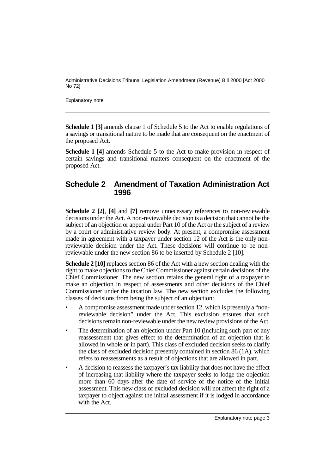Explanatory note

**Schedule 1 [3]** amends clause 1 of Schedule 5 to the Act to enable regulations of a savings or transitional nature to be made that are consequent on the enactment of the proposed Act.

**Schedule 1 [4]** amends Schedule 5 to the Act to make provision in respect of certain savings and transitional matters consequent on the enactment of the proposed Act.

#### **Schedule 2 Amendment of Taxation Administration Act 1996**

**Schedule 2 [2]**, **[4]** and **[7]** remove unnecessary references to non-reviewable decisions under the Act. A non-reviewable decision is a decision that cannot be the subject of an objection or appeal under Part 10 of the Act or the subject of a review by a court or administrative review body. At present, a compromise assessment made in agreement with a taxpayer under section 12 of the Act is the only nonreviewable decision under the Act. These decisions will continue to be nonreviewable under the new section 86 to be inserted by Schedule 2 [10].

**Schedule 2 [10]** replaces section 86 of the Act with a new section dealing with the right to make objections to the Chief Commissioner against certain decisions of the Chief Commissioner. The new section retains the general right of a taxpayer to make an objection in respect of assessments and other decisions of the Chief Commissioner under the taxation law. The new section excludes the following classes of decisions from being the subject of an objection:

- A compromise assessment made under section 12, which is presently a "nonreviewable decision" under the Act. This exclusion ensures that such decisions remain non-reviewable under the new review provisions of the Act.
- The determination of an objection under Part 10 (including such part of any reassessment that gives effect to the determination of an objection that is allowed in whole or in part). This class of excluded decision seeks to clarify the class of excluded decision presently contained in section 86 (1A), which refers to reassessments as a result of objections that are allowed in part.
- A decision to reassess the taxpayer's tax liability that does not have the effect of increasing that liability where the taxpayer seeks to lodge the objection more than 60 days after the date of service of the notice of the initial assessment. This new class of excluded decision will not affect the right of a taxpayer to object against the initial assessment if it is lodged in accordance with the Act.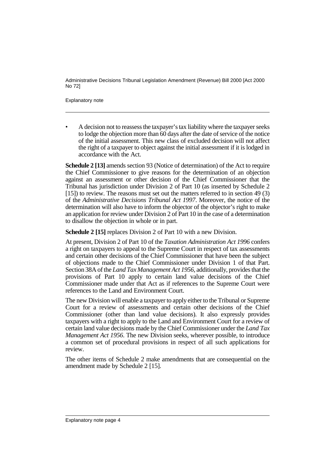Explanatory note

• A decision not to reassess the taxpayer's tax liability where the taxpayer seeks to lodge the objection more than 60 days after the date of service of the notice of the initial assessment. This new class of excluded decision will not affect the right of a taxpayer to object against the initial assessment if it is lodged in accordance with the Act.

**Schedule 2 [13]** amends section 93 (Notice of determination) of the Act to require the Chief Commissioner to give reasons for the determination of an objection against an assessment or other decision of the Chief Commissioner that the Tribunal has jurisdiction under Division 2 of Part 10 (as inserted by Schedule 2 [15]) to review. The reasons must set out the matters referred to in section 49 (3) of the *Administrative Decisions Tribunal Act 1997*. Moreover, the notice of the determination will also have to inform the objector of the objector's right to make an application for review under Division 2 of Part 10 in the case of a determination to disallow the objection in whole or in part.

**Schedule 2 [15]** replaces Division 2 of Part 10 with a new Division.

At present, Division 2 of Part 10 of the *Taxation Administration Act 1996* confers a right on taxpayers to appeal to the Supreme Court in respect of tax assessments and certain other decisions of the Chief Commissioner that have been the subject of objections made to the Chief Commissioner under Division 1 of that Part. Section 38A of the *Land Tax Management Act 1956*, additionally, provides that the provisions of Part 10 apply to certain land value decisions of the Chief Commissioner made under that Act as if references to the Supreme Court were references to the Land and Environment Court.

The new Division will enable a taxpayer to apply either to the Tribunal or Supreme Court for a review of assessments and certain other decisions of the Chief Commissioner (other than land value decisions). It also expressly provides taxpayers with a right to apply to the Land and Environment Court for a review of certain land value decisions made by the Chief Commissioner under the *Land Tax Management Act 1956*. The new Division seeks, wherever possible, to introduce a common set of procedural provisions in respect of all such applications for review.

The other items of Schedule 2 make amendments that are consequential on the amendment made by Schedule 2 [15].